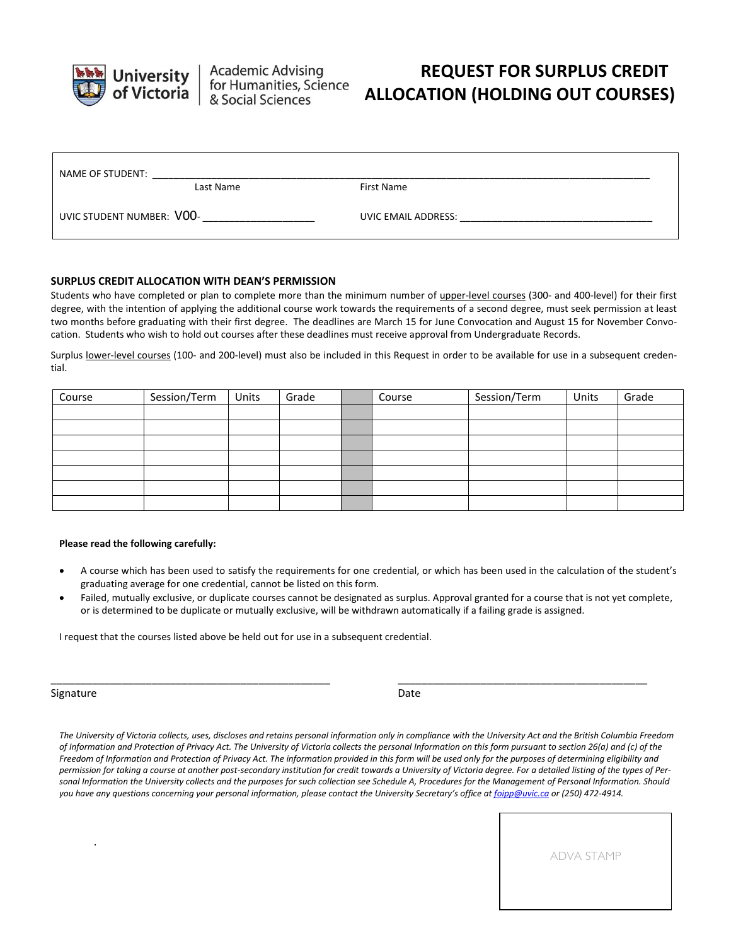

**Academic Advising** for Humanities, Science<br>& Social Sciences

## **REQUEST FOR SURPLUS CREDIT ALLOCATION (HOLDING OUT COURSES)**

| NAME OF STUDENT:          |           |                     |  |
|---------------------------|-----------|---------------------|--|
|                           | Last Name | First Name          |  |
| UVIC STUDENT NUMBER: VOO- |           | UVIC EMAIL ADDRESS: |  |

## **SURPLUS CREDIT ALLOCATION WITH DEAN'S PERMISSION**

Students who have completed or plan to complete more than the minimum number of upper-level courses (300- and 400-level) for their first degree, with the intention of applying the additional course work towards the requirements of a second degree, must seek permission at least two months before graduating with their first degree. The deadlines are March 15 for June Convocation and August 15 for November Convocation. Students who wish to hold out courses after these deadlines must receive approval from Undergraduate Records.

Surplus lower-level courses (100- and 200-level) must also be included in this Request in order to be available for use in a subsequent credential.

| Course | Session/Term | Units | Grade | Course | Session/Term | Units | Grade |
|--------|--------------|-------|-------|--------|--------------|-------|-------|
|        |              |       |       |        |              |       |       |
|        |              |       |       |        |              |       |       |
|        |              |       |       |        |              |       |       |
|        |              |       |       |        |              |       |       |
|        |              |       |       |        |              |       |       |
|        |              |       |       |        |              |       |       |
|        |              |       |       |        |              |       |       |

## **Please read the following carefully:**

- A course which has been used to satisfy the requirements for one credential, or which has been used in the calculation of the student's graduating average for one credential, cannot be listed on this form.
- Failed, mutually exclusive, or duplicate courses cannot be designated as surplus. Approval granted for a course that is not yet complete, or is determined to be duplicate or mutually exclusive, will be withdrawn automatically if a failing grade is assigned.

\_\_\_\_\_\_\_\_\_\_\_\_\_\_\_\_\_\_\_\_\_\_\_\_\_\_\_\_\_\_\_\_\_\_\_\_\_\_\_\_\_\_\_\_\_\_\_ \_\_\_\_\_\_\_\_\_\_\_\_\_\_\_\_\_\_\_\_\_\_\_\_\_\_\_\_\_\_\_\_\_\_\_\_\_\_\_\_\_\_

I request that the courses listed above be held out for use in a subsequent credential.

Signature Date Date of the Date of the Date of the Date of the Date of the Date of the Date of the Date of the Date of the Date of the Date of the Date of the Date of the Date of the Date of the Date of the Date of the Dat

.

*The University of Victoria collects, uses, discloses and retains personal information only in compliance with the University Act and the British Columbia Freedom of Information and Protection of Privacy Act. The University of Victoria collects the personal Information on this form pursuant to section 26(a) and (c) of the Freedom of Information and Protection of Privacy Act. The information provided in this form will be used only for the purposes of determining eligibility and*  permission for taking a course at another post-secondary institution for credit towards a University of Victoria degree. For a detailed listing of the types of Per*sonal Information the University collects and the purposes for such collection see Schedule A, Procedures for the Management of Personal Information. Should you have any questions concerning your personal information, please contact the University Secretary's office at [foipp@uvic.ca](mailto:foipp@uvic.ca) or (250) 472-4914.*

ADVA STAMP